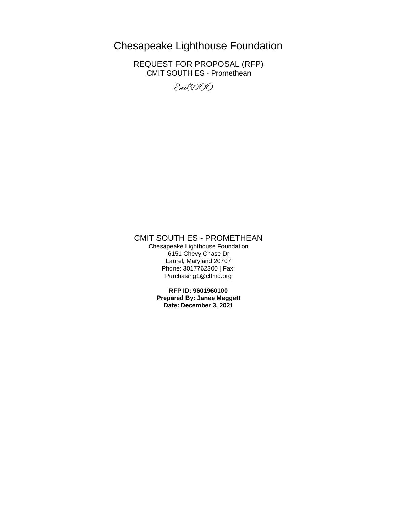# Chesapeake Lighthouse Foundation

REQUEST FOR PROPOSAL (RFP) CMIT SOUTH ES - Promethean

Eed, DOO

# CMIT SOUTH ES - PROMETHEAN

Chesapeake Lighthouse Foundation 6151 Chevy Chase Dr Laurel, Maryland 20707 Phone: 3017762300 | Fax: Purchasing1@clfmd.org

> **RFP ID: 9601960100 Prepared By: Janee Meggett Date: December 3, 2021**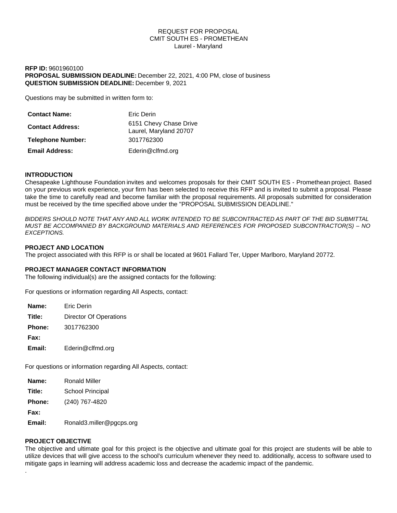## REQUEST FOR PROPOSAL CMIT SOUTH ES - PROMETHEAN Laurel - Maryland

## **RFP ID:** 9601960100 **PROPOSAL SUBMISSION DEADLINE:** December 22, 2021, 4:00 PM, close of business **QUESTION SUBMISSION DEADLINE:** December 9, 2021

Questions may be submitted in written form to:

| <b>Contact Name:</b>     | Eric Derin                                       |
|--------------------------|--------------------------------------------------|
| <b>Contact Address:</b>  | 6151 Chevy Chase Drive<br>Laurel, Maryland 20707 |
| <b>Telephone Number:</b> | 3017762300                                       |
| <b>Email Address:</b>    | Ederin@clfmd.org                                 |

# **INTRODUCTION**

Chesapeake Lighthouse Foundation invites and welcomes proposals for their CMIT SOUTH ES - Promethean project. Based on your previous work experience, your firm has been selected to receive this RFP and is invited to submit a proposal. Please take the time to carefully read and become familiar with the proposal requirements. All proposals submitted for consideration must be received by the time specified above under the "PROPOSAL SUBMISSION DEADLINE."

*BIDDERS SHOULD NOTE THAT ANY AND ALL WORK INTENDED TO BE SUBCONTRACTED AS PART OF THE BID SUBMITTAL MUST BE ACCOMPANIED BY BACKGROUND MATERIALS AND REFERENCES FOR PROPOSED SUBCONTRACTOR(S) – NO EXCEPTIONS.*

## **PROJECT AND LOCATION**

The project associated with this RFP is or shall be located at 9601 Fallard Ter, Upper Marlboro, Maryland 20772.

## **PROJECT MANAGER CONTACT INFORMATION**

The following individual(s) are the assigned contacts for the following:

For questions or information regarding All Aspects, contact:

| Name:         | <b>Fric Derin</b>             |
|---------------|-------------------------------|
| Title:        | <b>Director Of Operations</b> |
| <b>Phone:</b> | 3017762300                    |
| Fax:          |                               |
| Email:        | Ederin@clfmd.org              |

For questions or information regarding All Aspects, contact:

| Name:         | Ronald Miller            |
|---------------|--------------------------|
| Title:        | School Principal         |
| <b>Phone:</b> | (240) 767-4820           |
| Fax:          |                          |
| Email:        | Ronald3.miller@pgcps.org |

## **PROJECT OBJECTIVE**

.

The objective and ultimate goal for this project is the objective and ultimate goal for this project are students will be able to utilize devices that will give access to the school's curriculum whenever they need to. additionally, access to software used to mitigate gaps in learning will address academic loss and decrease the academic impact of the pandemic.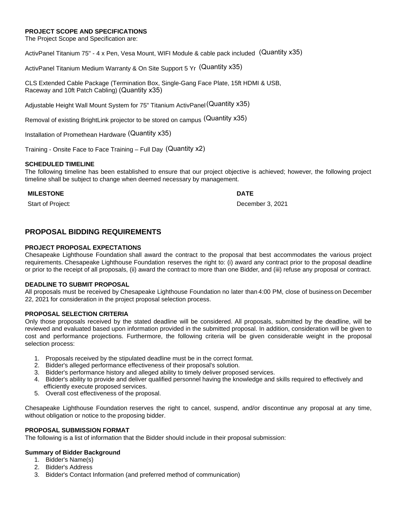## **PROJECT SCOPE AND SPECIFICATIONS**

The Project Scope and Specification are:

ActivPanel Titanium 75" - 4 x Pen, Vesa Mount, WIFI Module & cable pack included. (Quantity x35)

ActivPanel Titanium Medium Warranty & On Site Support 5 Yr (Quantity x35)

CLS Extended Cable Package (Termination Box, Single-Gang Face Plate, 15ft HDMI & USB, Raceway and 10ft Patch Cabling) (Quantity x35)

Adjustable Height Wall Mount System for 75" Titanium ActivPanel (Quantity x35)

Removal of existing BrightLink projector to be stored on campus (Quantity x35)

Installation of Promethean Hardware (Quantity x35)

Training - Onsite Face to Face Training – Full Day (Quantity x2)

## **SCHEDULED TIMELINE**

The following timeline has been established to ensure that our project objective is achieved; however, the following project timeline shall be subject to change when deemed necessary by management.

## **MILESTONE DATE**

Start of Project: **December 3, 2021** 

# **PROPOSAL BIDDING REQUIREMENTS**

## **PROJECT PROPOSAL EXPECTATIONS**

Chesapeake Lighthouse Foundation shall award the contract to the proposal that best accommodates the various project requirements. Chesapeake Lighthouse Foundation reserves the right to: (i) award any contract prior to the proposal deadline or prior to the receipt of all proposals, (ii) award the contract to more than one Bidder, and (iii) refuse any proposal or contract.

## **DEADLINE TO SUBMIT PROPOSAL**

All proposals must be received by Chesapeake Lighthouse Foundation no later than 4:00 PM, close of business on December 22, 2021 for consideration in the project proposal selection process.

## **PROPOSAL SELECTION CRITERIA**

Only those proposals received by the stated deadline will be considered. All proposals, submitted by the deadline, will be reviewed and evaluated based upon information provided in the submitted proposal. In addition, consideration will be given to cost and performance projections. Furthermore, the following criteria will be given considerable weight in the proposal selection process:

- 1. Proposals received by the stipulated deadline must be in the correct format.
- 2. Bidder's alleged performance effectiveness of their proposal's solution.
- 3. Bidder's performance history and alleged ability to timely deliver proposed services.
- 4. Bidder's ability to provide and deliver qualified personnel having the knowledge and skills required to effectively and efficiently execute proposed services.
- 5. Overall cost effectiveness of the proposal.

Chesapeake Lighthouse Foundation reserves the right to cancel, suspend, and/or discontinue any proposal at any time, without obligation or notice to the proposing bidder.

## **PROPOSAL SUBMISSION FORMAT**

The following is a list of information that the Bidder should include in their proposal submission:

# **Summary of Bidder Background**

- 1. Bidder's Name(s)
- 2. Bidder's Address
- 3. Bidder's Contact Information (and preferred method of communication)